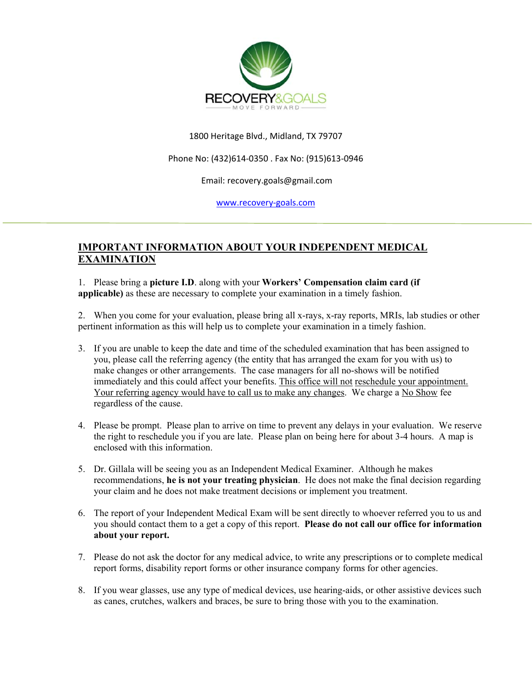

## 1800 Heritage Blvd., Midland, TX 79707

### Phone No: (432)614‐0350 . Fax No: (915)613‐0946

#### Email: recovery.goals@gmail.com

www.recovery‐goals.com

# **IMPORTANT INFORMATION ABOUT YOUR INDEPENDENT MEDICAL EXAMINATION**

1. Please bring a **picture I.D**. along with your **Workers' Compensation claim card (if applicable)** as these are necessary to complete your examination in a timely fashion.

2. When you come for your evaluation, please bring all x-rays, x-ray reports, MRIs, lab studies or other pertinent information as this will help us to complete your examination in a timely fashion.

- 3. If you are unable to keep the date and time of the scheduled examination that has been assigned to you, please call the referring agency (the entity that has arranged the exam for you with us) to make changes or other arrangements. The case managers for all no-shows will be notified immediately and this could affect your benefits. This office will not reschedule your appointment. Your referring agency would have to call us to make any changes. We charge a No Show fee regardless of the cause.
- 4. Please be prompt. Please plan to arrive on time to prevent any delays in your evaluation. We reserve the right to reschedule you if you are late. Please plan on being here for about 3-4 hours. A map is enclosed with this information.
- 5. Dr. Gillala will be seeing you as an Independent Medical Examiner. Although he makes recommendations, **he is not your treating physician**. He does not make the final decision regarding your claim and he does not make treatment decisions or implement you treatment.
- 6. The report of your Independent Medical Exam will be sent directly to whoever referred you to us and you should contact them to a get a copy of this report. **Please do not call our office for information about your report.**
- 7. Please do not ask the doctor for any medical advice, to write any prescriptions or to complete medical report forms, disability report forms or other insurance company forms for other agencies.
- 8. If you wear glasses, use any type of medical devices, use hearing-aids, or other assistive devices such as canes, crutches, walkers and braces, be sure to bring those with you to the examination.